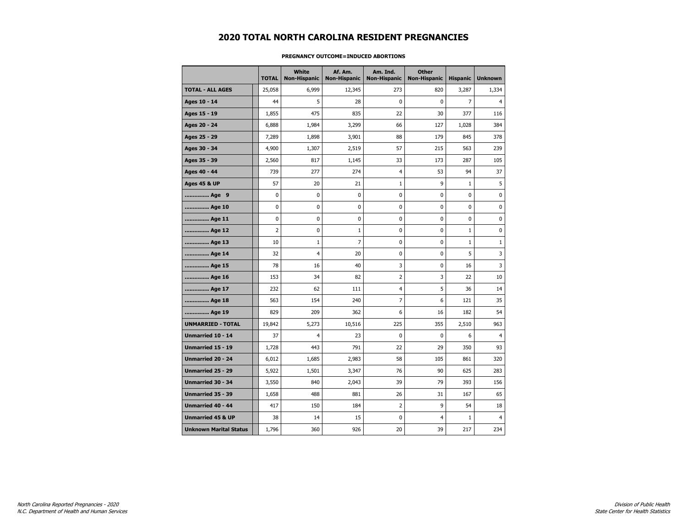# **2020 TOTAL NORTH CAROLINA RESIDENT PREGNANCIES**

|                               | <b>TOTAL</b>   | White<br><b>Non-Hispanic</b> | Af. Am.<br><b>Non-Hispanic</b> | Am. Ind.<br><b>Non-Hispanic</b> | <b>Other</b><br><b>Non-Hispanic</b> | <b>Hispanic</b> | <b>Unknown</b> |
|-------------------------------|----------------|------------------------------|--------------------------------|---------------------------------|-------------------------------------|-----------------|----------------|
| <b>TOTAL - ALL AGES</b>       | 25,058         | 6,999                        | 12,345                         | 273                             | 820                                 | 3,287           | 1,334          |
| Ages 10 - 14                  | 44             | 5                            | 28                             | 0                               | 0                                   | $\overline{7}$  | $\overline{4}$ |
| Ages 15 - 19                  | 1,855          | 475                          | 835                            | 22                              | 30                                  | 377             | 116            |
| Ages 20 - 24                  | 6,888          | 1,984                        | 3,299                          | 66                              | 127                                 | 1,028           | 384            |
| Ages 25 - 29                  | 7,289          | 1,898                        | 3,901                          | 88                              | 179                                 | 845             | 378            |
| Ages 30 - 34                  | 4,900          | 1,307                        | 2,519                          | 57                              | 215                                 | 563             | 239            |
| Ages 35 - 39                  | 2,560          | 817                          | 1,145                          | 33                              | 173                                 | 287             | 105            |
| Ages 40 - 44                  | 739            | 277                          | 274                            | $\overline{4}$                  | 53                                  | 94              | 37             |
| <b>Ages 45 &amp; UP</b>       | 57             | 20                           | 21                             | 1                               | 9                                   | $\mathbf{1}$    | 5              |
| Age 9                         | 0              | $\mathbf 0$                  | $\mathbf 0$                    | 0                               | 0                                   | $\mathbf 0$     | $\mathbf 0$    |
| Age 10                        | $\pmb{0}$      | 0                            | 0                              | 0                               | 0                                   | $\mathbf 0$     | 0              |
| Age 11                        | 0              | 0                            | 0                              | 0                               | 0                                   | 0               | 0              |
| Age 12                        | $\overline{2}$ | 0                            | 1                              | 0                               | 0                                   | $\mathbf{1}$    | 0              |
| Age 13                        | 10             | $\mathbf{1}$                 | 7                              | 0                               | 0                                   | $\mathbf{1}$    | $\mathbf{1}$   |
| Age 14                        | 32             | $\overline{4}$               | 20                             | 0                               | 0                                   | 5               | 3              |
| Age 15                        | 78             | 16                           | 40                             | 3                               | $\pmb{0}$                           | 16              | 3              |
| Age 16                        | 153            | 34                           | 82                             | $\overline{\mathbf{c}}$         | 3                                   | 22              | 10             |
| Age 17                        | 232            | 62                           | 111                            | 4                               | 5                                   | 36              | 14             |
| Age 18                        | 563            | 154                          | 240                            | 7                               | 6                                   | 121             | 35             |
| Age 19                        | 829            | 209                          | 362                            | 6                               | 16                                  | 182             | 54             |
| <b>UNMARRIED - TOTAL</b>      | 19,842         | 5,273                        | 10,516                         | 225                             | 355                                 | 2,510           | 963            |
| Unmarried 10 - 14             | 37             | 4                            | 23                             | 0                               | $\mathbf 0$                         | 6               | $\overline{4}$ |
| Unmarried 15 - 19             | 1,728          | 443                          | 791                            | 22                              | 29                                  | 350             | 93             |
| Unmarried 20 - 24             | 6,012          | 1,685                        | 2,983                          | 58                              | 105                                 | 861             | 320            |
| Unmarried 25 - 29             | 5,922          | 1,501                        | 3,347                          | 76                              | 90                                  | 625             | 283            |
| <b>Unmarried 30 - 34</b>      | 3,550          | 840                          | 2,043                          | 39                              | 79                                  | 393             | 156            |
| <b>Unmarried 35 - 39</b>      | 1,658          | 488                          | 881                            | 26                              | 31                                  | 167             | 65             |
| <b>Unmarried 40 - 44</b>      | 417            | 150                          | 184                            | $\overline{2}$                  | 9                                   | 54              | 18             |
| <b>Unmarried 45 &amp; UP</b>  | 38             | 14                           | 15                             | 0                               | $\overline{4}$                      | $\mathbf{1}$    | $\overline{4}$ |
| <b>Unknown Marital Status</b> | 1,796          | 360                          | 926                            | 20                              | 39                                  | 217             | 234            |

### **PREGNANCY OUTCOME=INDUCED ABORTIONS**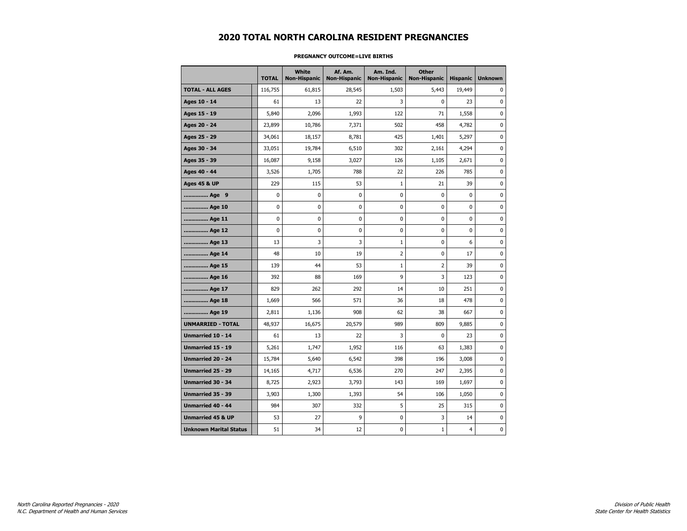# **2020 TOTAL NORTH CAROLINA RESIDENT PREGNANCIES**

|                               | <b>TOTAL</b> | White<br><b>Non-Hispanic</b> | Af. Am.<br><b>Non-Hispanic</b> | Am. Ind.<br><b>Non-Hispanic</b> | <b>Other</b><br><b>Non-Hispanic</b> | <b>Hispanic</b> | <b>Unknown</b> |
|-------------------------------|--------------|------------------------------|--------------------------------|---------------------------------|-------------------------------------|-----------------|----------------|
| <b>TOTAL - ALL AGES</b>       | 116,755      | 61,815                       | 28,545                         | 1,503                           | 5,443                               | 19,449          | 0              |
| Ages 10 - 14                  | 61           | 13                           | 22                             | 3                               | 0                                   | 23              | $\mathbf 0$    |
| Ages 15 - 19                  | 5,840        | 2,096                        | 1,993                          | 122                             | 71                                  | 1,558           | $\mathbf 0$    |
| Ages 20 - 24                  | 23,899       | 10,786                       | 7,371                          | 502                             | 458                                 | 4,782           | 0              |
| Ages 25 - 29                  | 34,061       | 18,157                       | 8,781                          | 425                             | 1,401                               | 5,297           | 0              |
| Ages 30 - 34                  | 33,051       | 19,784                       | 6,510                          | 302                             | 2,161                               | 4,294           | 0              |
| Ages 35 - 39                  | 16,087       | 9,158                        | 3,027                          | 126                             | 1,105                               | 2,671           | 0              |
| Ages 40 - 44                  | 3,526        | 1,705                        | 788                            | 22                              | 226                                 | 785             | 0              |
| <b>Ages 45 &amp; UP</b>       | 229          | 115                          | 53                             | $\mathbf{1}$                    | 21                                  | 39              | 0              |
| Age 9                         | 0            | 0                            | 0                              | 0                               | 0                                   | $\mathbf 0$     | 0              |
| Age 10                        | 0            | 0                            | 0                              | 0                               | 0                                   | 0               | 0              |
| Age 11                        | 0            | 0                            | 0                              | 0                               | 0                                   | $\mathbf{0}$    | 0              |
| Age 12                        | 0            | 0                            | 0                              | 0                               | 0                                   | 0               | 0              |
| Age 13                        | 13           | 3                            | 3                              | $\mathbf{1}$                    | 0                                   | 6               | 0              |
| Age 14                        | 48           | 10                           | 19                             | 2                               | 0                                   | 17              | 0              |
| Age 15                        | 139          | 44                           | 53                             | $\mathbf{1}$                    | $\overline{2}$                      | 39              | 0              |
| Age 16                        | 392          | 88                           | 169                            | 9                               | 3                                   | 123             | 0              |
| Age 17                        | 829          | 262                          | 292                            | 14                              | 10                                  | 251             | 0              |
| Age 18                        | 1,669        | 566                          | 571                            | 36                              | 18                                  | 478             | 0              |
| Age 19                        | 2,811        | 1,136                        | 908                            | 62                              | 38                                  | 667             | 0              |
| <b>UNMARRIED - TOTAL</b>      | 48,937       | 16,675                       | 20,579                         | 989                             | 809                                 | 9,885           | 0              |
| Unmarried 10 - 14             | 61           | 13                           | 22                             | 3                               | 0                                   | 23              | $\mathbf 0$    |
| Unmarried 15 - 19             | 5,261        | 1,747                        | 1,952                          | 116                             | 63                                  | 1,383           | $\mathbf 0$    |
| Unmarried 20 - 24             | 15,784       | 5,640                        | 6,542                          | 398                             | 196                                 | 3,008           | $\pmb{0}$      |
| Unmarried 25 - 29             | 14,165       | 4,717                        | 6,536                          | 270                             | 247                                 | 2,395           | $\pmb{0}$      |
| Unmarried 30 - 34             | 8,725        | 2,923                        | 3,793                          | 143                             | 169                                 | 1,697           | $\pmb{0}$      |
| Unmarried 35 - 39             | 3,903        | 1,300                        | 1,393                          | 54                              | 106                                 | 1,050           | 0              |
| Unmarried 40 - 44             | 984          | 307                          | 332                            | 5                               | 25                                  | 315             | 0              |
| <b>Unmarried 45 &amp; UP</b>  | 53           | 27                           | 9                              | 0                               | 3                                   | 14              | 0              |
| <b>Unknown Marital Status</b> | 51           | 34                           | 12                             | 0                               | $\mathbf{1}$                        | $\overline{4}$  | 0              |

### **PREGNANCY OUTCOME=LIVE BIRTHS**